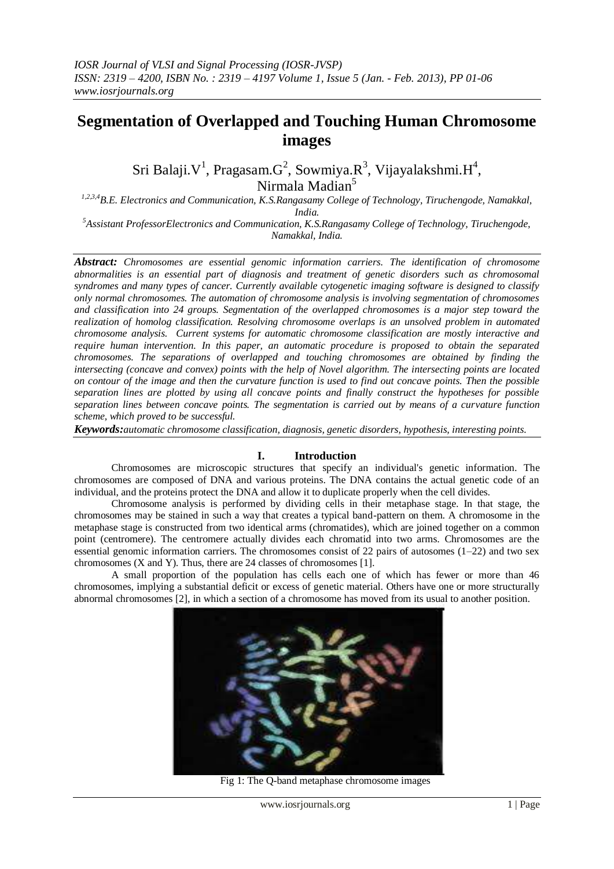# **Segmentation of Overlapped and Touching Human Chromosome images**

Sri Balaji. $\mathrm{V}^1$ , Pragasam. $\mathrm{G}^2$ , Sowmiya. $\mathrm{R}^3$ , Vijayalakshmi. $\mathrm{H}^4$ , Nirmala Madian<sup>5</sup>

*1,2,3,4B.E. Electronics and Communication, K.S.Rangasamy College of Technology, Tiruchengode, Namakkal, India.*

*<sup>5</sup>Assistant ProfessorElectronics and Communication, K.S.Rangasamy College of Technology, Tiruchengode, Namakkal, India.*

*Abstract: Chromosomes are essential genomic information carriers. The identification of chromosome abnormalities is an essential part of diagnosis and treatment of genetic disorders such as chromosomal syndromes and many types of cancer. Currently available cytogenetic imaging software is designed to classify only normal chromosomes. The automation of chromosome analysis is involving segmentation of chromosomes and classification into 24 groups. Segmentation of the overlapped chromosomes is a major step toward the realization of homolog classification. Resolving chromosome overlaps is an unsolved problem in automated chromosome analysis. Current systems for automatic chromosome classification are mostly interactive and require human intervention. In this paper, an automatic procedure is proposed to obtain the separated chromosomes. The separations of overlapped and touching chromosomes are obtained by finding the intersecting (concave and convex) points with the help of Novel algorithm. The intersecting points are located on contour of the image and then the curvature function is used to find out concave points. Then the possible separation lines are plotted by using all concave points and finally construct the hypotheses for possible separation lines between concave points. The segmentation is carried out by means of a curvature function scheme, which proved to be successful.*

*Keywords:automatic chromosome classification, diagnosis, genetic disorders, hypothesis, interesting points.*

#### **I. Introduction**

Chromosomes are microscopic structures that specify an individual's genetic information. The chromosomes are composed of DNA and various proteins. The DNA contains the actual genetic code of an individual, and the proteins protect the DNA and allow it to duplicate properly when the cell divides.

Chromosome analysis is performed by dividing cells in their metaphase stage. In that stage, the chromosomes may be stained in such a way that creates a typical band-pattern on them. A chromosome in the metaphase stage is constructed from two identical arms (chromatides), which are joined together on a common point (centromere). The centromere actually divides each chromatid into two arms. Chromosomes are the essential genomic information carriers. The chromosomes consist of 22 pairs of autosomes (1–22) and two sex chromosomes (X and Y). Thus, there are 24 classes of chromosomes [1].

A small proportion of the population has cells each one of which has fewer or more than 46 chromosomes, implying a substantial deficit or excess of genetic material. Others have one or more structurally abnormal chromosomes [2], in which a section of a chromosome has moved from its usual to another position.



Fig 1: The Q-band metaphase chromosome images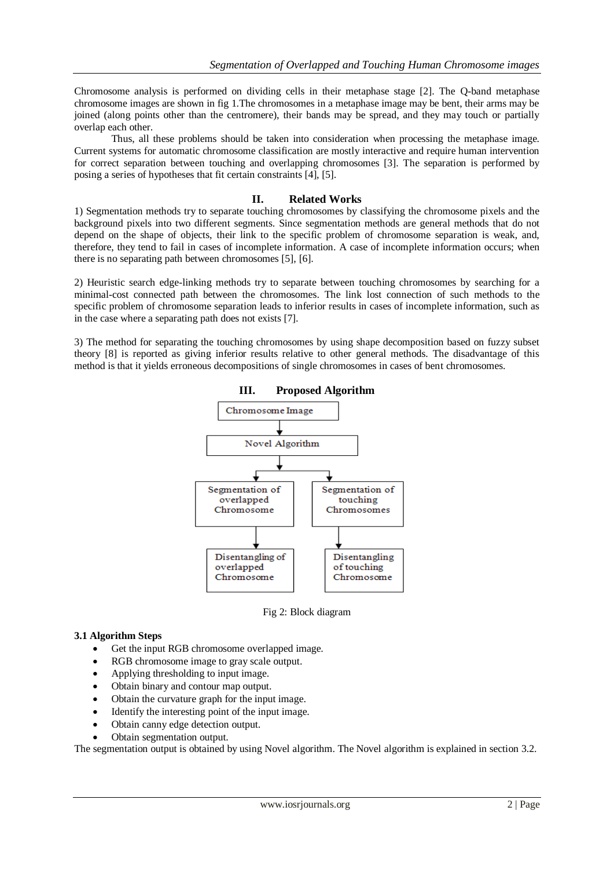Chromosome analysis is performed on dividing cells in their metaphase stage [2]. The Q-band metaphase chromosome images are shown in fig 1.The chromosomes in a metaphase image may be bent, their arms may be joined (along points other than the centromere), their bands may be spread, and they may touch or partially overlap each other.

 Thus, all these problems should be taken into consideration when processing the metaphase image. Current systems for automatic chromosome classification are mostly interactive and require human intervention for correct separation between touching and overlapping chromosomes [3]. The separation is performed by posing a series of hypotheses that fit certain constraints [4], [5].

#### **II. Related Works**

1) Segmentation methods try to separate touching chromosomes by classifying the chromosome pixels and the background pixels into two different segments. Since segmentation methods are general methods that do not depend on the shape of objects, their link to the specific problem of chromosome separation is weak, and, therefore, they tend to fail in cases of incomplete information. A case of incomplete information occurs; when there is no separating path between chromosomes [5], [6].

2) Heuristic search edge-linking methods try to separate between touching chromosomes by searching for a minimal-cost connected path between the chromosomes. The link lost connection of such methods to the specific problem of chromosome separation leads to inferior results in cases of incomplete information, such as in the case where a separating path does not exists [7].

3) The method for separating the touching chromosomes by using shape decomposition based on fuzzy subset theory [8] is reported as giving inferior results relative to other general methods. The disadvantage of this method is that it yields erroneous decompositions of single chromosomes in cases of bent chromosomes.



**III. Proposed Algorithm**

Fig 2: Block diagram

#### **3.1 Algorithm Steps**

- Get the input RGB chromosome overlapped image.
- RGB chromosome image to gray scale output.
- Applying thresholding to input image.
- Obtain binary and contour map output.
- Obtain the curvature graph for the input image.
- Identify the interesting point of the input image.
- Obtain canny edge detection output.
- Obtain segmentation output.

The segmentation output is obtained by using Novel algorithm. The Novel algorithm is explained in section 3.2.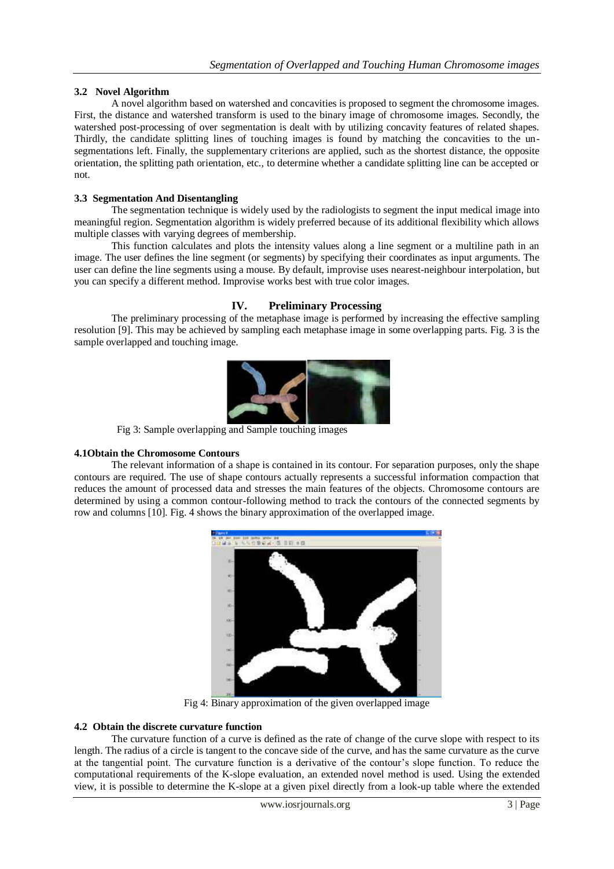# **3.2 Novel Algorithm**

A novel algorithm based on watershed and concavities is proposed to segment the chromosome images. First, the distance and watershed transform is used to the binary image of chromosome images. Secondly, the watershed post-processing of over segmentation is dealt with by utilizing concavity features of related shapes. Thirdly, the candidate splitting lines of touching images is found by matching the concavities to the unsegmentations left. Finally, the supplementary criterions are applied, such as the shortest distance, the opposite orientation, the splitting path orientation, etc., to determine whether a candidate splitting line can be accepted or not.

# **3.3 Segmentation And Disentangling**

The segmentation technique is widely used by the radiologists to segment the input medical image into meaningful region. Segmentation algorithm is widely preferred because of its additional flexibility which allows multiple classes with varying degrees of membership.

This function calculates and plots the intensity values along a line segment or a multiline path in an image. The user defines the line segment (or segments) by specifying their coordinates as input arguments. The user can define the line segments using a mouse. By default, improvise uses nearest-neighbour interpolation, but you can specify a different method. Improvise works best with true color images.

# **IV. Preliminary Processing**

The preliminary processing of the metaphase image is performed by increasing the effective sampling resolution [9]. This may be achieved by sampling each metaphase image in some overlapping parts. Fig. 3 is the sample overlapped and touching image.



Fig 3: Sample overlapping and Sample touching images

# **4.1Obtain the Chromosome Contours**

The relevant information of a shape is contained in its contour. For separation purposes, only the shape contours are required. The use of shape contours actually represents a successful information compaction that reduces the amount of processed data and stresses the main features of the objects. Chromosome contours are determined by using a common contour-following method to track the contours of the connected segments by row and columns [10]. Fig. 4 shows the binary approximation of the overlapped image.



Fig 4: Binary approximation of the given overlapped image

# **4.2 Obtain the discrete curvature function**

The curvature function of a curve is defined as the rate of change of the curve slope with respect to its length. The radius of a circle is tangent to the concave side of the curve, and has the same curvature as the curve at the tangential point. The curvature function is a derivative of the contour's slope function. To reduce the computational requirements of the K-slope evaluation, an extended novel method is used. Using the extended view, it is possible to determine the K-slope at a given pixel directly from a look-up table where the extended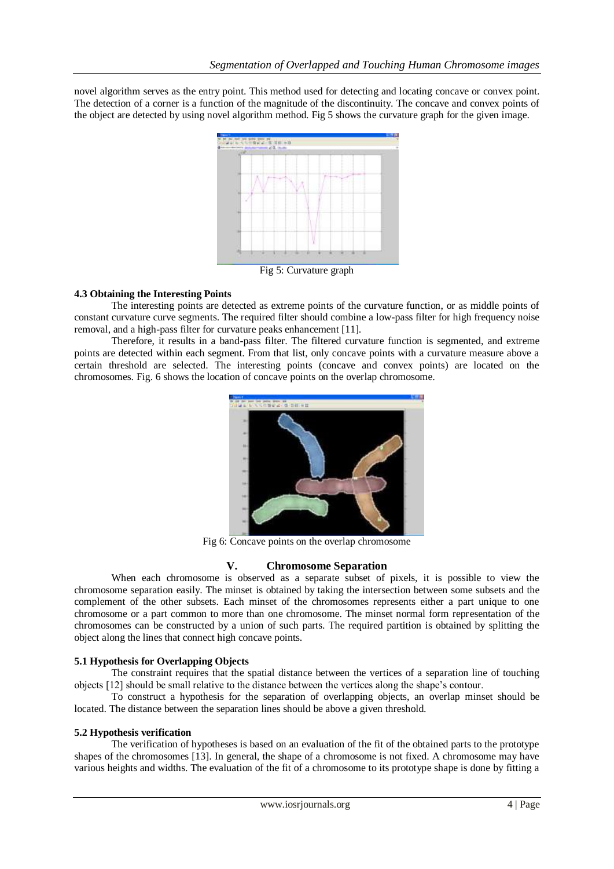novel algorithm serves as the entry point. This method used for detecting and locating concave or convex point. The detection of a corner is a function of the magnitude of the discontinuity. The concave and convex points of the object are detected by using novel algorithm method. Fig 5 shows the curvature graph for the given image.



### **4.3 Obtaining the Interesting Points**

The interesting points are detected as extreme points of the curvature function, or as middle points of constant curvature curve segments. The required filter should combine a low-pass filter for high frequency noise removal, and a high-pass filter for curvature peaks enhancement [11].

Therefore, it results in a band-pass filter. The filtered curvature function is segmented, and extreme points are detected within each segment. From that list, only concave points with a curvature measure above a certain threshold are selected. The interesting points (concave and convex points) are located on the chromosomes. Fig. 6 shows the location of concave points on the overlap chromosome.



Fig 6: Concave points on the overlap chromosome

# **V. Chromosome Separation**

When each chromosome is observed as a separate subset of pixels, it is possible to view the chromosome separation easily. The minset is obtained by taking the intersection between some subsets and the complement of the other subsets. Each minset of the chromosomes represents either a part unique to one chromosome or a part common to more than one chromosome. The minset normal form representation of the chromosomes can be constructed by a union of such parts. The required partition is obtained by splitting the object along the lines that connect high concave points.

# **5.1 Hypothesis for Overlapping Objects**

The constraint requires that the spatial distance between the vertices of a separation line of touching objects [12] should be small relative to the distance between the vertices along the shape's contour.

To construct a hypothesis for the separation of overlapping objects, an overlap minset should be located. The distance between the separation lines should be above a given threshold.

#### **5.2 Hypothesis verification**

The verification of hypotheses is based on an evaluation of the fit of the obtained parts to the prototype shapes of the chromosomes [13]. In general, the shape of a chromosome is not fixed. A chromosome may have various heights and widths. The evaluation of the fit of a chromosome to its prototype shape is done by fitting a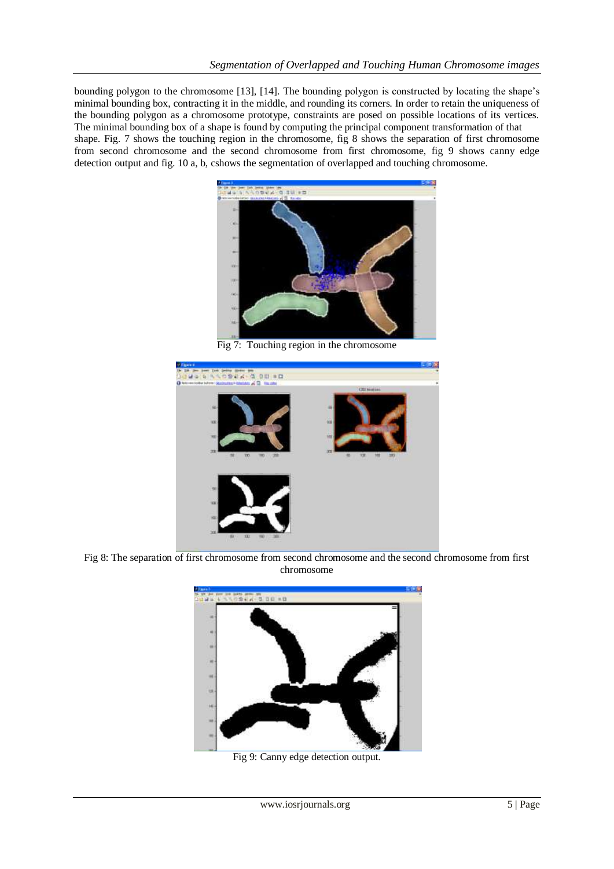bounding polygon to the chromosome [13], [14]. The bounding polygon is constructed by locating the shape's minimal bounding box, contracting it in the middle, and rounding its corners. In order to retain the uniqueness of the bounding polygon as a chromosome prototype, constraints are posed on possible locations of its vertices. The minimal bounding box of a shape is found by computing the principal component transformation of that shape. Fig. 7 shows the touching region in the chromosome, fig 8 shows the separation of first chromosome from second chromosome and the second chromosome from first chromosome, fig 9 shows canny edge detection output and fig. 10 a, b, cshows the segmentation of overlapped and touching chromosome.



Fig 7: Touching region in the chromosome



Fig 8: The separation of first chromosome from second chromosome and the second chromosome from first chromosome



Fig 9: Canny edge detection output.